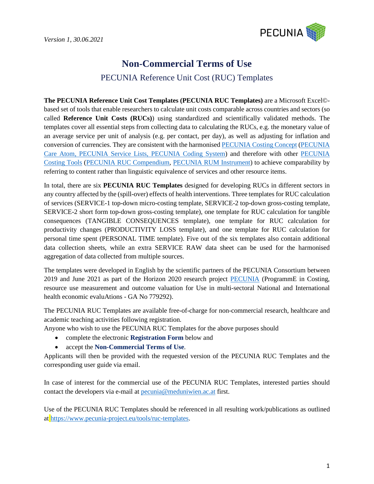

# **Non-Commercial Terms of Use**

# PECUNIA Reference Unit Cost (RUC) Templates

**The PECUNIA Reference Unit Cost Templates (PECUNIA RUC Templates)** are a Microsoft Excel© based set of tools that enable researchers to calculate unit costs comparable across countries and sectors (so called **Reference Unit Costs (RUCs)**) using standardized and scientifically validated methods. The templates cover all essential steps from collecting data to calculating the RUCs, e.g. the monetary value of an average service per unit of analysis (e.g. per contact, per day), as well as adjusting for inflation and conversion of currencies. They are consistent with the harmonised [PECUNIA Costing Concept](https://www.pecunia-project.eu/results) [\(PECUNIA](https://www.youtube.com/watch?v=nuHZ_CO-uMM&ab_channel=PECUNIAProjectEU)  [Care Atom, PECUNIA Service Lists, PECUNIA Coding System\)](https://www.youtube.com/watch?v=nuHZ_CO-uMM&ab_channel=PECUNIAProjectEU) and therefore with other [PECUNIA](https://www.pecunia-project.eu/tools)  [Costing Tools](https://www.pecunia-project.eu/tools) [\(PECUNIA RUC Compendium,](https://www.youtube.com/watch?v=_5H8qYhY3I0&ab_channel=PECUNIAProjectEU) [PECUNIA RUM Instrument\)](https://www.youtube.com/watch?v=-105iC8uyJY&ab_channel=PECUNIAProjectEU) to achieve comparability by referring to content rather than linguistic equivalence of services and other resource items.

In total, there are six **PECUNIA RUC Templates** designed for developing RUCs in different sectors in any country affected by the (spill-over) effects of health interventions. Three templates for RUC calculation of services (SERVICE-1 top-down micro-costing template, SERVICE-2 top-down gross-costing template, SERVICE-2 short form top-down gross-costing template), one template for RUC calculation for tangible consequences (TANGIBLE CONSEQUENCES template), one template for RUC calculation for productivity changes (PRODUCTIVITY LOSS template), and one template for RUC calculation for personal time spent (PERSONAL TIME template). Five out of the six templates also contain additional data collection sheets, while an extra SERVICE RAW data sheet can be used for the harmonised aggregation of data collected from multiple sources.

The templates were developed in English by the scientific partners of the PECUNIA Consortium between 2019 and June 2021 as part of the Horizon 2020 research project [PECUNIA](https://www.pecunia-project.eu/) (ProgrammE in Costing, resource use measurement and outcome valuation for Use in multi-sectoral National and International health economic evaluAtions - GA No 779292).

The PECUNIA RUC Templates are available free-of-charge for non-commercial research, healthcare and academic teaching activities following registration.

Anyone who wish to use the PECUNIA RUC Templates for the above purposes should

- complete the electronic **Registration Form** below and
- accept the **Non-Commercial Terms of Use**.

Applicants will then be provided with the requested version of the PECUNIA RUC Templates and the corresponding user guide via email.

In case of interest for the commercial use of the PECUNIA RUC Templates, interested parties should contact the developers via e-mail at [pecunia@meduniwien.ac.at](mailto:pecunia@meduniwien.ac.at) first.

Use of the PECUNIA RUC Templates should be referenced in all resulting work/publications as outlined at [https://www.pecunia-project.eu/tools/r](https://www.pecunia-project.eu/tools/)uc-templates.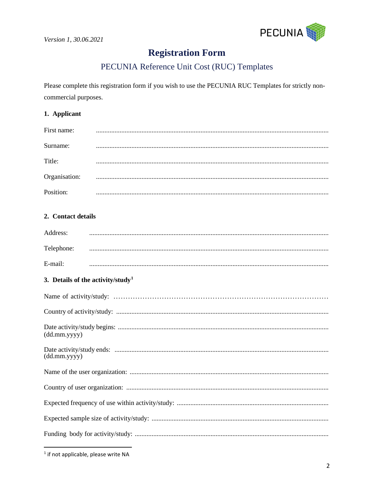

# **Registration Form**

# PECUNIA Reference Unit Cost (RUC) Templates

Please complete this registration form if you wish to use the PECUNIA RUC Templates for strictly noncommercial purposes.

### 1. Applicant

| First name:   |  |
|---------------|--|
|               |  |
| Surname:      |  |
|               |  |
| Title:        |  |
|               |  |
| Organisation: |  |
|               |  |
| Position:     |  |

# 2. Contact details

| Address:   |  |
|------------|--|
| Telephone: |  |
| $E$ -mail: |  |

# 3. Details of the activity/study<sup>1</sup>

| (dd.mm.yyyy) |
|--------------|
| (dd.mm.yyyy) |
|              |
|              |
|              |
|              |
|              |

<span id="page-1-0"></span><sup>&</sup>lt;sup>1</sup> if not applicable, please write NA